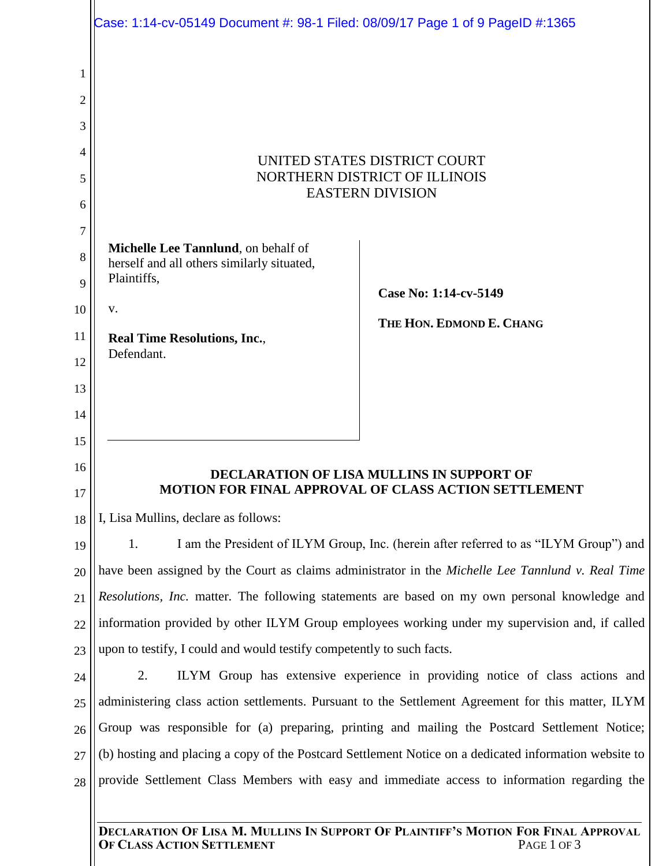|        | Case: 1:14-cv-05149 Document #: 98-1 Filed: 08/09/17 Page 1 of 9 PageID #:1365                         |                                                                                                   |
|--------|--------------------------------------------------------------------------------------------------------|---------------------------------------------------------------------------------------------------|
|        |                                                                                                        |                                                                                                   |
| 1      |                                                                                                        |                                                                                                   |
| 2      |                                                                                                        |                                                                                                   |
| 3<br>4 | UNITED STATES DISTRICT COURT<br>NORTHERN DISTRICT OF ILLINOIS<br><b>EASTERN DIVISION</b>               |                                                                                                   |
| 5      |                                                                                                        |                                                                                                   |
| 6      |                                                                                                        |                                                                                                   |
| 7      |                                                                                                        |                                                                                                   |
| 8      | Michelle Lee Tannlund, on behalf of                                                                    |                                                                                                   |
| 9      | herself and all others similarly situated,<br>Plaintiffs,                                              |                                                                                                   |
| 10     | V.                                                                                                     | Case No: 1:14-cv-5149                                                                             |
| 11     | <b>Real Time Resolutions, Inc.,</b>                                                                    | THE HON. EDMOND E. CHANG                                                                          |
| 12     | Defendant.                                                                                             |                                                                                                   |
| 13     |                                                                                                        |                                                                                                   |
| 14     |                                                                                                        |                                                                                                   |
| 15     |                                                                                                        |                                                                                                   |
| 16     | <b>DECLARATION OF LISA MULLINS IN SUPPORT OF</b>                                                       |                                                                                                   |
| 17     | MOTION FOR FINAL APPROVAL OF CLASS ACTION SETTLEMENT                                                   |                                                                                                   |
| 18     | I, Lisa Mullins, declare as follows:                                                                   |                                                                                                   |
| 19     | I am the President of ILYM Group, Inc. (herein after referred to as "ILYM Group") and<br>1.            |                                                                                                   |
| 20     | have been assigned by the Court as claims administrator in the Michelle Lee Tannlund v. Real Time      |                                                                                                   |
| 21     | <i>Resolutions, Inc.</i> matter. The following statements are based on my own personal knowledge and   |                                                                                                   |
| 22     | information provided by other ILYM Group employees working under my supervision and, if called         |                                                                                                   |
| 23     | upon to testify, I could and would testify competently to such facts.                                  |                                                                                                   |
| 24     | ILYM Group has extensive experience in providing notice of class actions and<br>2.                     |                                                                                                   |
| 25     | administering class action settlements. Pursuant to the Settlement Agreement for this matter, ILYM     |                                                                                                   |
| 26     | Group was responsible for (a) preparing, printing and mailing the Postcard Settlement Notice;          |                                                                                                   |
| 27     | (b) hosting and placing a copy of the Postcard Settlement Notice on a dedicated information website to |                                                                                                   |
| 28     | provide Settlement Class Members with easy and immediate access to information regarding the           |                                                                                                   |
|        | OF CLASS ACTION SETTLEMENT                                                                             | DECLARATION OF LISA M. MULLINS IN SUPPORT OF PLAINTIFF'S MOTION FOR FINAL APPROVAL<br>PAGE 1 OF 3 |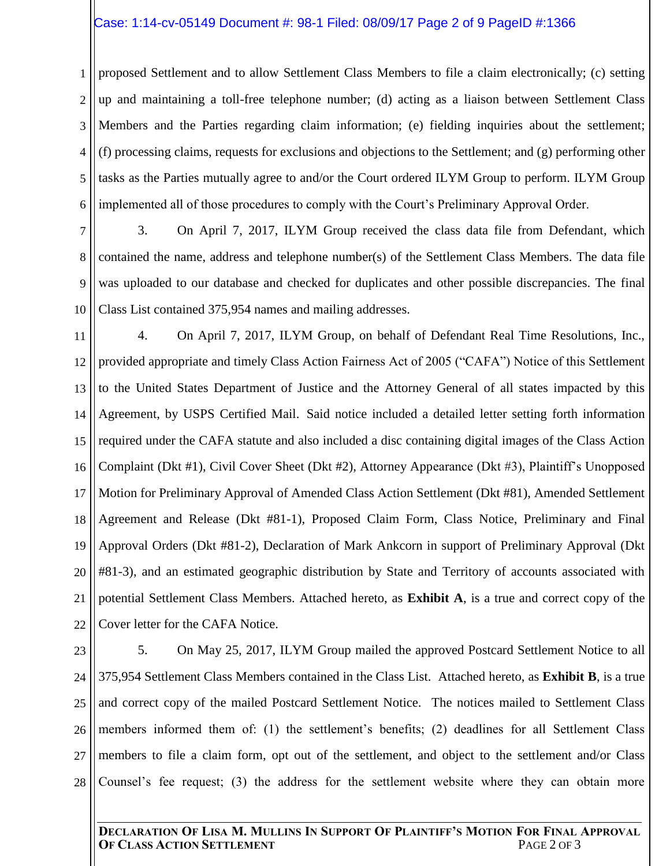### Case: 1:14-cv-05149 Document #: 98-1 Filed: 08/09/17 Page 2 of 9 PageID #:1366

1 2 3 4 5 6 proposed Settlement and to allow Settlement Class Members to file a claim electronically; (c) setting up and maintaining a toll-free telephone number; (d) acting as a liaison between Settlement Class Members and the Parties regarding claim information; (e) fielding inquiries about the settlement; (f) processing claims, requests for exclusions and objections to the Settlement; and (g) performing other tasks as the Parties mutually agree to and/or the Court ordered ILYM Group to perform. ILYM Group implemented all of those procedures to comply with the Court's Preliminary Approval Order.

7 8 9 10 3. On April 7, 2017, ILYM Group received the class data file from Defendant, which contained the name, address and telephone number(s) of the Settlement Class Members. The data file was uploaded to our database and checked for duplicates and other possible discrepancies. The final Class List contained 375,954 names and mailing addresses.

11 12 13 14 15 16 17 18 19 20 21 22 4. On April 7, 2017, ILYM Group, on behalf of Defendant Real Time Resolutions, Inc., provided appropriate and timely Class Action Fairness Act of 2005 ("CAFA") Notice of this Settlement to the United States Department of Justice and the Attorney General of all states impacted by this Agreement, by USPS Certified Mail. Said notice included a detailed letter setting forth information required under the CAFA statute and also included a disc containing digital images of the Class Action Complaint (Dkt #1), Civil Cover Sheet (Dkt #2), Attorney Appearance (Dkt #3), Plaintiff's Unopposed Motion for Preliminary Approval of Amended Class Action Settlement (Dkt #81), Amended Settlement Agreement and Release (Dkt #81-1), Proposed Claim Form, Class Notice, Preliminary and Final Approval Orders (Dkt #81-2), Declaration of Mark Ankcorn in support of Preliminary Approval (Dkt #81-3), and an estimated geographic distribution by State and Territory of accounts associated with potential Settlement Class Members. Attached hereto, as **Exhibit A**, is a true and correct copy of the Cover letter for the CAFA Notice.

23 24 25 26 27 28 5. On May 25, 2017, ILYM Group mailed the approved Postcard Settlement Notice to all 375,954 Settlement Class Members contained in the Class List. Attached hereto, as **Exhibit B**, is a true and correct copy of the mailed Postcard Settlement Notice. The notices mailed to Settlement Class members informed them of: (1) the settlement's benefits; (2) deadlines for all Settlement Class members to file a claim form, opt out of the settlement, and object to the settlement and/or Class Counsel's fee request; (3) the address for the settlement website where they can obtain more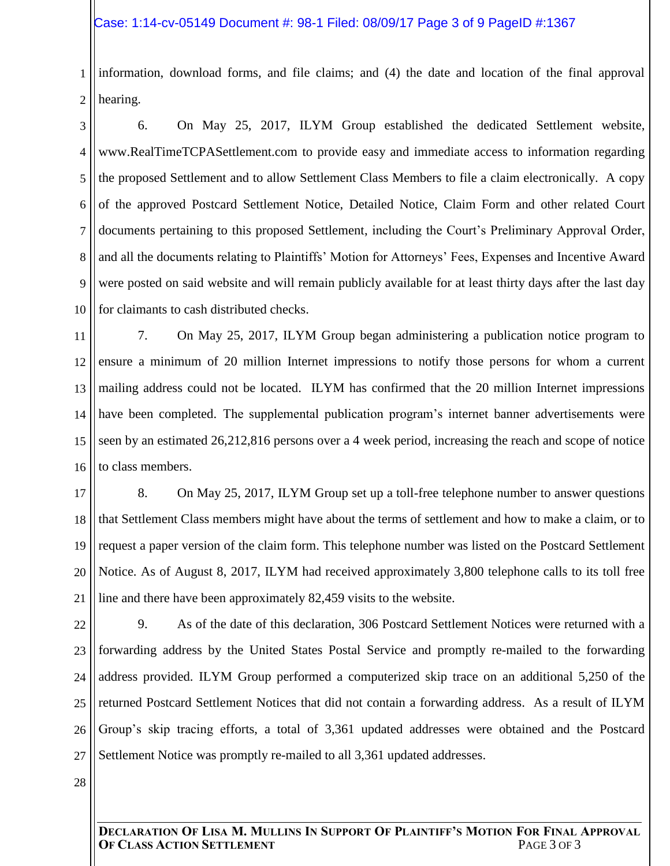### Case: 1:14-cv-05149 Document #: 98-1 Filed: 08/09/17 Page 3 of 9 PageID #:1367

1 2 information, download forms, and file claims; and (4) the date and location of the final approval hearing.

3 4 5 6 7 8 9 10 6. On May 25, 2017, ILYM Group established the dedicated Settlement website, www.RealTimeTCPASettlement.com to provide easy and immediate access to information regarding the proposed Settlement and to allow Settlement Class Members to file a claim electronically. A copy of the approved Postcard Settlement Notice, Detailed Notice, Claim Form and other related Court documents pertaining to this proposed Settlement, including the Court's Preliminary Approval Order, and all the documents relating to Plaintiffs' Motion for Attorneys' Fees, Expenses and Incentive Award were posted on said website and will remain publicly available for at least thirty days after the last day for claimants to cash distributed checks.

11 12 13 14 15 16 7. On May 25, 2017, ILYM Group began administering a publication notice program to ensure a minimum of 20 million Internet impressions to notify those persons for whom a current mailing address could not be located. ILYM has confirmed that the 20 million Internet impressions have been completed. The supplemental publication program's internet banner advertisements were seen by an estimated 26,212,816 persons over a 4 week period, increasing the reach and scope of notice to class members.

17 18 19 20 21 8. On May 25, 2017, ILYM Group set up a toll-free telephone number to answer questions that Settlement Class members might have about the terms of settlement and how to make a claim, or to request a paper version of the claim form. This telephone number was listed on the Postcard Settlement Notice. As of August 8, 2017, ILYM had received approximately 3,800 telephone calls to its toll free line and there have been approximately 82,459 visits to the website.

22 23 24 25 26 27 9. As of the date of this declaration, 306 Postcard Settlement Notices were returned with a forwarding address by the United States Postal Service and promptly re-mailed to the forwarding address provided. ILYM Group performed a computerized skip trace on an additional 5,250 of the returned Postcard Settlement Notices that did not contain a forwarding address. As a result of ILYM Group's skip tracing efforts, a total of 3,361 updated addresses were obtained and the Postcard Settlement Notice was promptly re-mailed to all 3,361 updated addresses.

28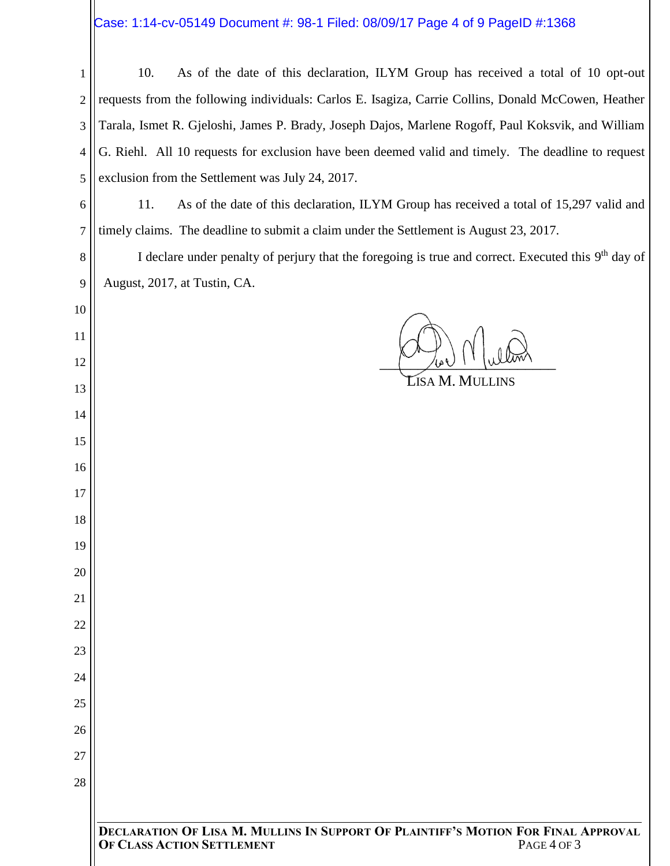# $\biggl|\mathsf{Case}\right.$  1:14-cv-05149 Document #: 98-1 Filed: 08/09/17 Page 4 of 9 PageID #:1368

| 1              | As of the date of this declaration, ILYM Group has received a total of 10 opt-out<br>10.                                        |  |
|----------------|---------------------------------------------------------------------------------------------------------------------------------|--|
| 2              | requests from the following individuals: Carlos E. Isagiza, Carrie Collins, Donald McCowen, Heather                             |  |
| 3              | Tarala, Ismet R. Gjeloshi, James P. Brady, Joseph Dajos, Marlene Rogoff, Paul Koksvik, and William                              |  |
| $\overline{4}$ | G. Riehl. All 10 requests for exclusion have been deemed valid and timely. The deadline to request                              |  |
| 5              | exclusion from the Settlement was July 24, 2017.                                                                                |  |
| 6              | 11.<br>As of the date of this declaration, ILYM Group has received a total of 15,297 valid and                                  |  |
| 7              | timely claims. The deadline to submit a claim under the Settlement is August 23, 2017.                                          |  |
| 8              | I declare under penalty of perjury that the foregoing is true and correct. Executed this 9 <sup>th</sup> day of                 |  |
| 9              | August, 2017, at Tustin, CA.                                                                                                    |  |
| 10             |                                                                                                                                 |  |
| 11             |                                                                                                                                 |  |
| 12             |                                                                                                                                 |  |
| 13             | <b>Līsa M. Mullins</b>                                                                                                          |  |
| 14             |                                                                                                                                 |  |
| 15             |                                                                                                                                 |  |
| 16             |                                                                                                                                 |  |
| 17             |                                                                                                                                 |  |
| 18             |                                                                                                                                 |  |
| 19             |                                                                                                                                 |  |
| 20             |                                                                                                                                 |  |
| 21             |                                                                                                                                 |  |
| 22             |                                                                                                                                 |  |
| 23             |                                                                                                                                 |  |
| 24             |                                                                                                                                 |  |
| 25             |                                                                                                                                 |  |
| 26             |                                                                                                                                 |  |
| 27             |                                                                                                                                 |  |
| 28             |                                                                                                                                 |  |
|                |                                                                                                                                 |  |
|                | DECLARATION OF LISA M. MULLINS IN SUPPORT OF PLAINTIFF'S MOTION FOR FINAL APPROVAL<br>PAGE 4 OF 3<br>OF CLASS ACTION SETTLEMENT |  |
|                |                                                                                                                                 |  |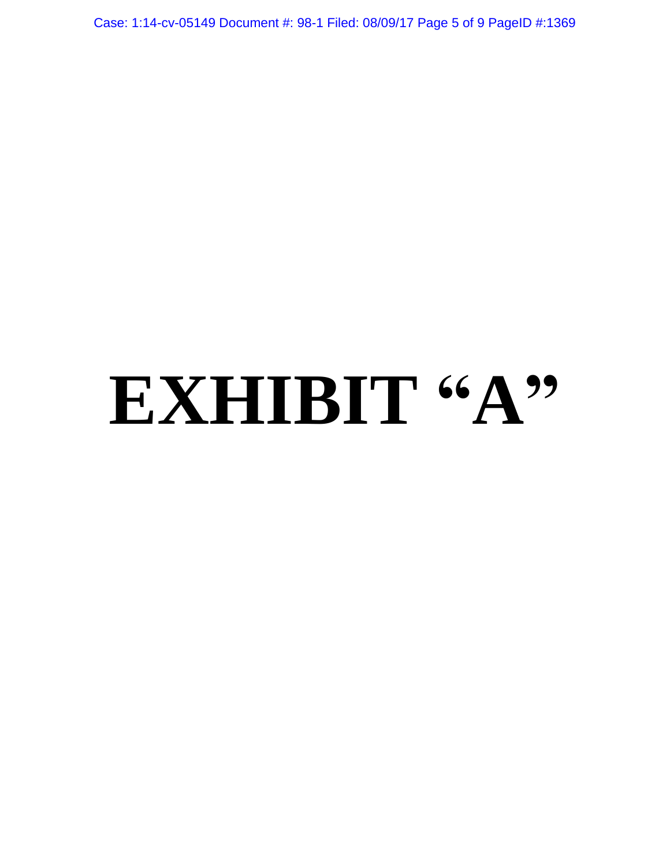Case: 1:14-cv-05149 Document #: 98-1 Filed: 08/09/17 Page 5 of 9 PageID #:1369

# **EXHIBIT "A"**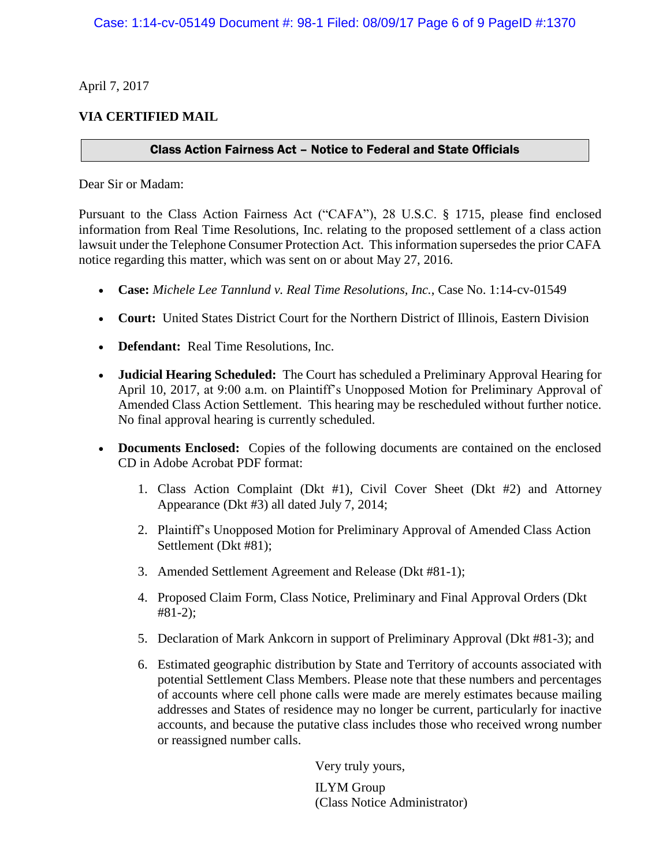April 7, 2017

# **VIA CERTIFIED MAIL**

## Class Action Fairness Act – Notice to Federal and State Officials

Dear Sir or Madam:

Pursuant to the Class Action Fairness Act ("CAFA"), 28 U.S.C. § 1715, please find enclosed information from Real Time Resolutions, Inc. relating to the proposed settlement of a class action lawsuit under the Telephone Consumer Protection Act. This information supersedes the prior CAFA notice regarding this matter, which was sent on or about May 27, 2016.

- **Case:** *Michele Lee Tannlund v. Real Time Resolutions, Inc.*, Case No. 1:14-cv-01549
- **Court:** United States District Court for the Northern District of Illinois, Eastern Division
- **Defendant:** Real Time Resolutions, Inc.
- **Judicial Hearing Scheduled:** The Court has scheduled a Preliminary Approval Hearing for April 10, 2017, at 9:00 a.m. on Plaintiff's Unopposed Motion for Preliminary Approval of Amended Class Action Settlement. This hearing may be rescheduled without further notice. No final approval hearing is currently scheduled.
- **Documents Enclosed:** Copies of the following documents are contained on the enclosed CD in Adobe Acrobat PDF format:
	- 1. Class Action Complaint (Dkt #1), Civil Cover Sheet (Dkt #2) and Attorney Appearance (Dkt #3) all dated July 7, 2014;
	- 2. Plaintiff's Unopposed Motion for Preliminary Approval of Amended Class Action Settlement (Dkt #81);
	- 3. Amended Settlement Agreement and Release (Dkt #81-1);
	- 4. Proposed Claim Form, Class Notice, Preliminary and Final Approval Orders (Dkt #81-2);
	- 5. Declaration of Mark Ankcorn in support of Preliminary Approval (Dkt #81-3); and
	- 6. Estimated geographic distribution by State and Territory of accounts associated with potential Settlement Class Members. Please note that these numbers and percentages of accounts where cell phone calls were made are merely estimates because mailing addresses and States of residence may no longer be current, particularly for inactive accounts, and because the putative class includes those who received wrong number or reassigned number calls.

Very truly yours,

ILYM Group (Class Notice Administrator)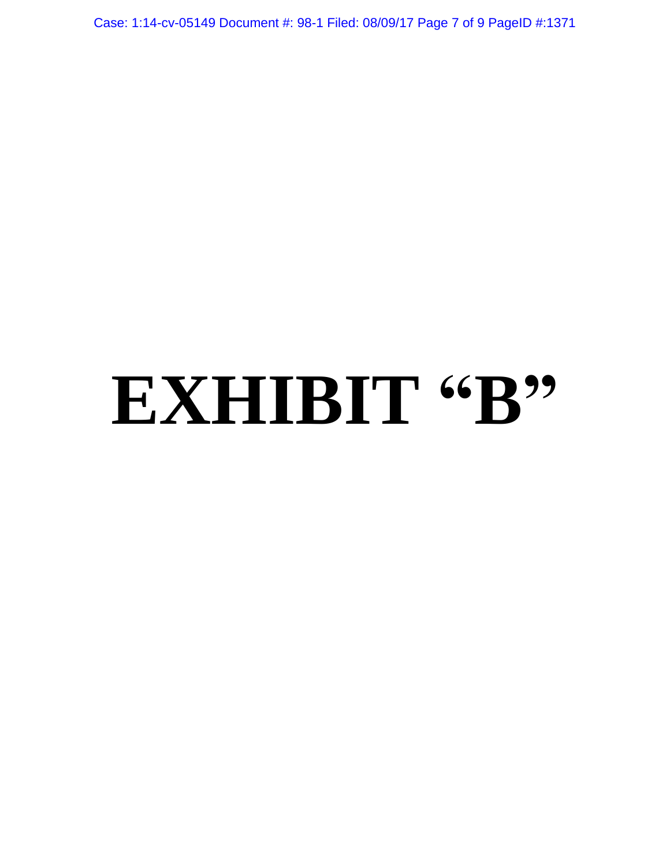Case: 1:14-cv-05149 Document #: 98-1 Filed: 08/09/17 Page 7 of 9 PageID #:1371

# EXHIBIT "B"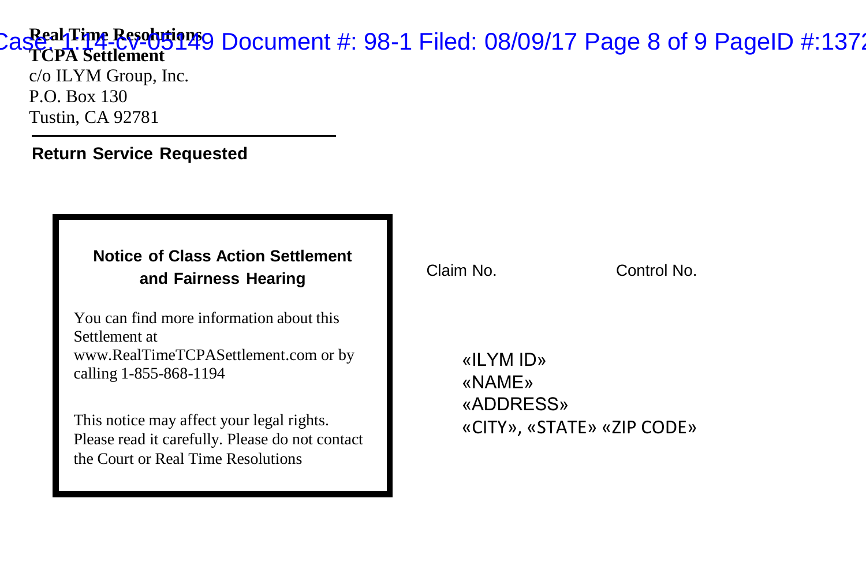#### **Real Time Resolutions**  Case: 1:14-cv-05149 Document #: 98-1 Filed: 08/09/17 Page 8 of 9 PageID #:1372**TCPA Settlement**

c/o ILYM Group, Inc. P.O. Box 130 Tustin, CA 92781

### **Return Service Requested**

### **Notice of Class Action Settlement and Fairness Hearing**

You can find more information about this Settlement at www.RealTimeTCPASettlement.com or by calling 1-855-868-1194

This notice may affect your legal rights. Please read it carefully. Please do not contact the Court or Real Time Resolutions

Claim No. Control No.

«ILYM ID» «NAME» «ADDRESS» «CITY», «STATE» «ZIP CODE»